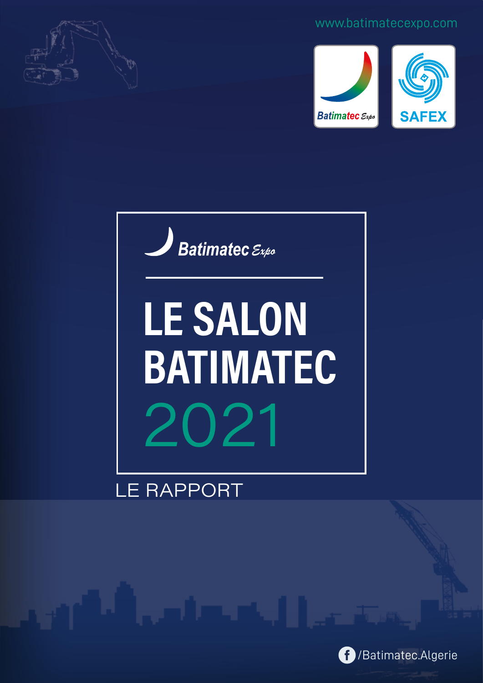

#### www.batimatecexpo.com







# LE SALON **BATIMATEC** 2021

## **LE RAPPORT**

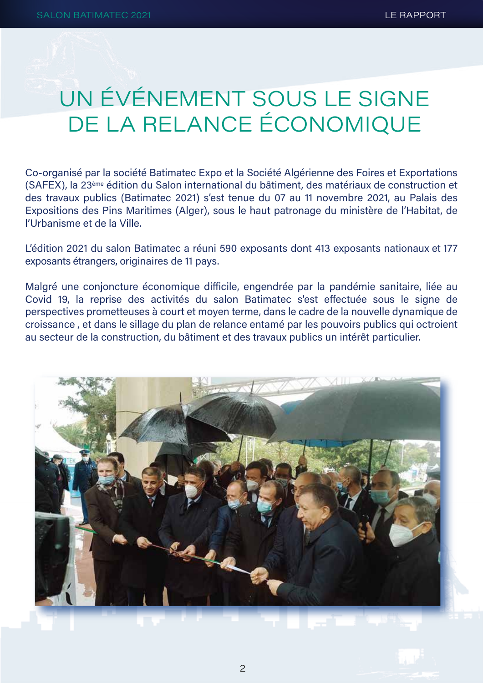## UN ÉVÉNEMENT SOUS LE SIGNE DE LA RELANCE ÉCONOMIQUE

Co-organisé par la société Batimatec Expo et la Société Algérienne des Foires et Exportations (SAFEX), la 23<sup>ème</sup> édition du Salon international du bâtiment, des matériaux de construction et des travaux publics (Batimatec 2021) s'est tenue du 07 au 11 novembre 2021, au Palais des Expositions des Pins Maritimes (Alger), sous le haut patronage du ministère de l'Habitat, de l'Urbanisme et de la Ville.

L'édition 2021 du salon Batimatec a réuni 590 exposants dont 413 exposants nationaux et 177 exposants étrangers, originaires de 11 pays.

Malgré une conjoncture économique difficile, engendrée par la pandémie sanitaire, liée au Covid 19, la reprise des activités du salon Batimatec s'est effectuée sous le signe de perspectives prometteuses à court et moyen terme, dans le cadre de la nouvelle dynamique de croissance, et dans le sillage du plan de relance entamé par les pouvoirs publics qui octroient au secteur de la construction, du bâtiment et des travaux publics un intérêt particulier.

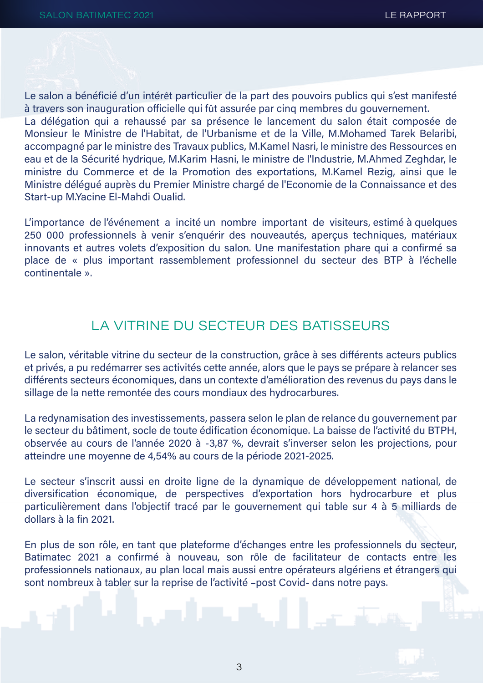Le salon a bénéficié d'un intérêt particulier de la part des pouvoirs publics qui s'est manifesté à travers son inauguration officielle qui fût assurée par cing membres du gouvernement.

La délégation qui a rehaussé par sa présence le lancement du salon était composée de Monsieur le Ministre de l'Habitat, de l'Urbanisme et de la Ville, M.Mohamed Tarek Belaribi, accompagné par le ministre des Travaux publics, M.Kamel Nasri, le ministre des Ressources en eau et de la Sécurité hydrique, M.Karim Hasni, le ministre de l'Industrie, M.Ahmed Zeghdar, le ministre du Commerce et de la Promotion des exportations, M.Kamel Rezig, ainsi que le Ministre déléqué auprès du Premier Ministre chargé de l'Economie de la Connaissance et des Start-up M.Yacine El-Mahdi Oualid.

L'importance de l'événement a incité un nombre important de visiteurs, estimé à quelques 250 000 professionnels à venir s'enguérir des nouveautés, apercus techniques, matériaux innovants et autres volets d'exposition du salon. Une manifestation phare qui a confirmé sa place de « plus important rassemblement professionnel du secteur des BTP à l'échelle continentale »

### LA VITRINE DU SECTEUR DES BATISSEURS

Le salon, véritable vitrine du secteur de la construction, grâce à ses différents acteurs publics et privés, a pu redémarrer ses activités cette année, alors que le pays se prépare à relancer ses différents secteurs économiques, dans un contexte d'amélioration des revenus du pays dans le sillage de la nette remontée des cours mondiaux des hydrocarbures.

La redynamisation des investissements, passera selon le plan de relance du gouvernement par le secteur du bâtiment, socle de toute édification économique. La baisse de l'activité du BTPH, observée au cours de l'année 2020 à -3,87 %, devrait s'inverser selon les projections, pour atteindre une moyenne de 4,54% au cours de la période 2021-2025.

Le secteur s'inscrit aussi en droite ligne de la dynamique de développement national, de diversification économique, de perspectives d'exportation hors hydrocarbure et plus particulièrement dans l'objectif tracé par le gouvernement qui table sur 4 à 5 milliards de dollars à la fin 2021.

En plus de son rôle, en tant que plateforme d'échanges entre les professionnels du secteur, Batimatec 2021 a confirmé à nouveau, son rôle de facilitateur de contacts entre les professionnels nationaux, au plan local mais aussi entre opérateurs algériens et étrangers qui sont nombreux à tabler sur la reprise de l'activité -post Covid- dans notre pays.

3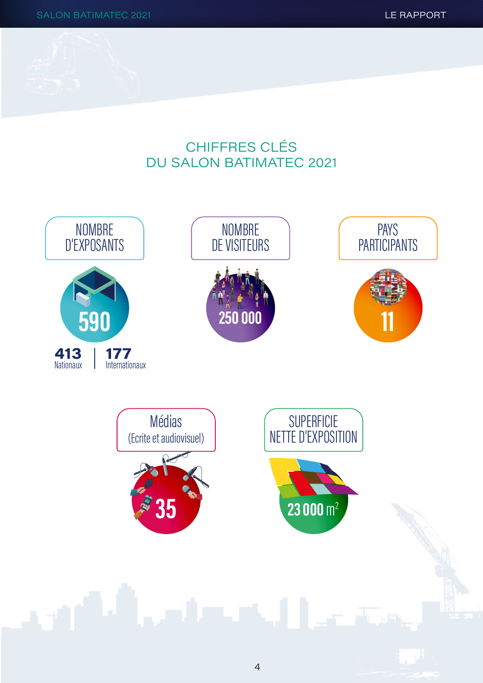## **CHIFFRES CLÉS DU SALON BATIMATEC 2021**

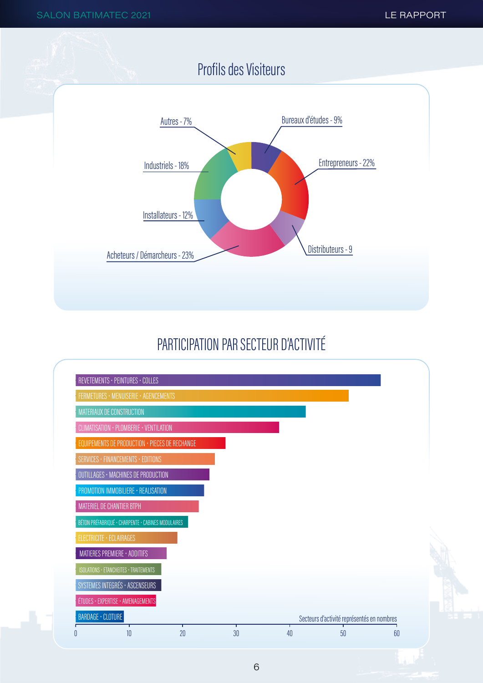

## PARTICIPATION PAR SECTEUR D'ACTIVITÉ

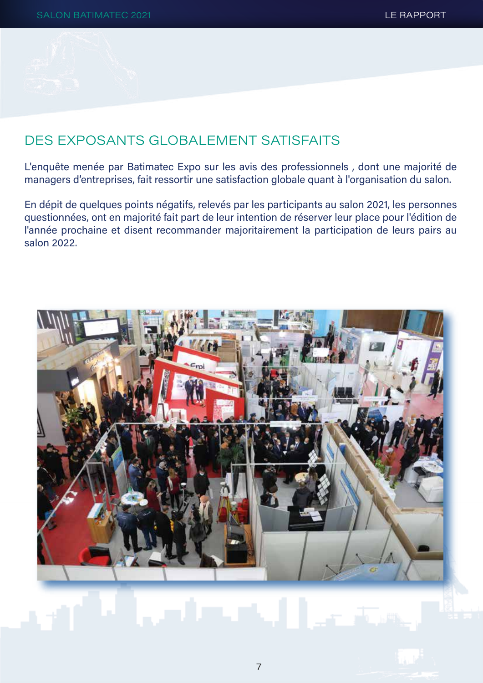## DES EXPOSANTS GI OBAI EMENT SATISFAITS

L'enquête menée par Batimatec Expo sur les avis des professionnels, dont une majorité de managers d'entreprises, fait ressortir une satisfaction globale quant à l'organisation du salon.

En dépit de quelques points négatifs, relevés par les participants au salon 2021, les personnes questionnées, ont en majorité fait part de leur intention de réserver leur place pour l'édition de l'année prochaine et disent recommander majoritairement la participation de leurs pairs au salon 2022.

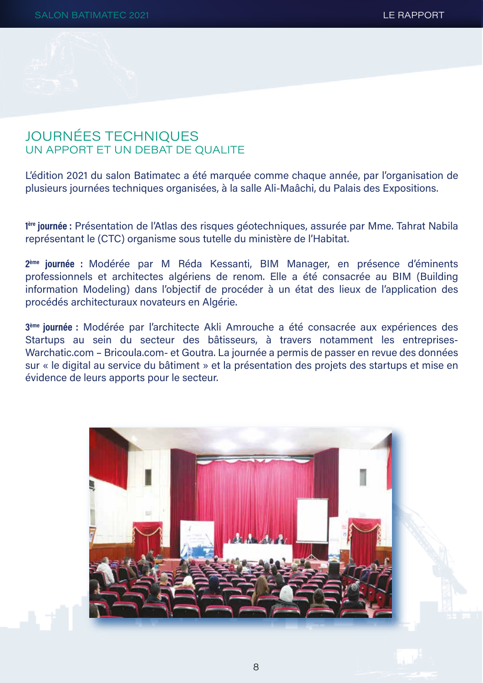## **JOURNÉES TECHNIQUES** UN APPORT ET UN DEBAT DE OUALITE

L'édition 2021 du salon Batimatec a été marquée comme chaque année, par l'organisation de plusieurs journées techniques organisées, à la salle Ali-Maâchi, du Palais des Expositions.

lere journée : Présentation de l'Atlas des risques géotechniques, assurée par Mme. Tahrat Nabila représentant le (CTC) organisme sous tutelle du ministère de l'Habitat.

2<sup>ème</sup> journée : Modérée par M Réda Kessanti, BIM Manager, en présence d'éminents professionnels et architectes algériens de renom. Elle a été consacrée au BIM (Building information Modeling) dans l'objectif de procéder à un état des lieux de l'application des procédés architecturaux novateurs en Algérie.

3<sup>ème</sup> journée : Modérée par l'architecte Akli Amrouche a été consacrée aux expériences des Startups au sein du secteur des bâtisseurs, à travers notamment les entreprises-Warchatic.com - Bricoula.com- et Goutra. La journée a permis de passer en revue des données sur « le digital au service du bâtiment » et la présentation des projets des startups et mise en évidence de leurs apports pour le secteur.

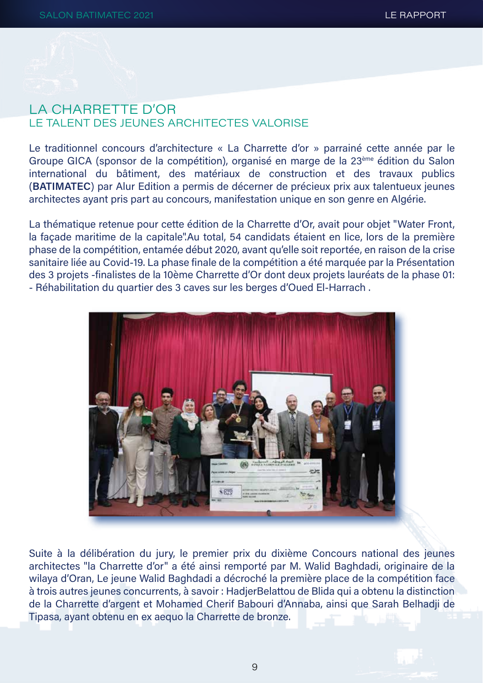## LA CHARRETTE D'OR **I F TAI ENT DES JEUNES ARCHITECTES VALOBISE**

Le traditionnel concours d'architecture « La Charrette d'or » parrainé cette année par le Groupe GICA (sponsor de la compétition), organisé en marge de la 23<sup>ème</sup> édition du Salon international du bâtiment, des matériaux de construction et des travaux publics (BATIMATEC) par Alur Edition a permis de décerner de précieux prix aux talentueux jeunes architectes ayant pris part au concours, manifestation unique en son genre en Algérie.

La thématique retenue pour cette édition de la Charrette d'Or, avait pour objet "Water Front, la façade maritime de la capitale".Au total, 54 candidats étaient en lice, lors de la première phase de la compétition, entamée début 2020, avant qu'elle soit reportée, en raison de la crise sanitaire liée au Covid-19. La phase finale de la compétition a été marquée par la Présentation des 3 projets -finalistes de la 10ème Charrette d'Or dont deux projets lauréats de la phase 01: - Réhabilitation du quartier des 3 caves sur les berges d'Oued El-Harrach.



Suite à la délibération du jury, le premier prix du dixième Concours national des jeunes architectes "la Charrette d'or" a été ainsi remporté par M. Walid Baghdadi, originaire de la wilaya d'Oran, Le jeune Walid Baghdadi a décroché la première place de la compétition face à trois autres jeunes concurrents, à savoir : HadierBelattou de Blida qui a obtenu la distinction de la Charrette d'argent et Mohamed Cherif Babouri d'Annaba, ainsi que Sarah Belhadji de Tipasa, avant obtenu en ex aequo la Charrette de bronze.

 $\Omega$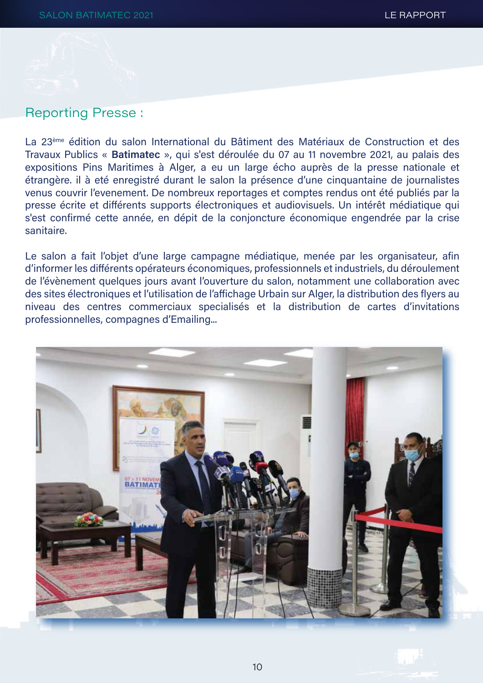#### **Reporting Presse:**

La 23<sup>ème</sup> édition du salon International du Bâtiment des Matériaux de Construction et des Travaux Publics « Batimatec », qui s'est déroulée du 07 au 11 novembre 2021, au palais des expositions Pins Maritimes à Alger, a eu un large écho auprès de la presse nationale et étrangère. il à eté enregistré durant le salon la présence d'une cinquantaine de journalistes venus couvrir l'evenement. De nombreux reportages et comptes rendus ont été publiés par la presse écrite et différents supports électroniques et audiovisuels. Un intérêt médiatique qui s'est confirmé cette année, en dépit de la conjoncture économique engendrée par la crise sanitaire.

Le salon a fait l'objet d'une large campagne médiatique, menée par les organisateur, afin d'informer les différents opérateurs économiques, professionnels et industriels, du déroulement de l'évènement quelques jours avant l'ouverture du salon, notamment une collaboration avec des sites électroniques et l'utilisation de l'affichage Urbain sur Alger, la distribution des flyers au niveau des centres commerciaux specialisés et la distribution de cartes d'invitations professionnelles, compagnes d'Emailing...

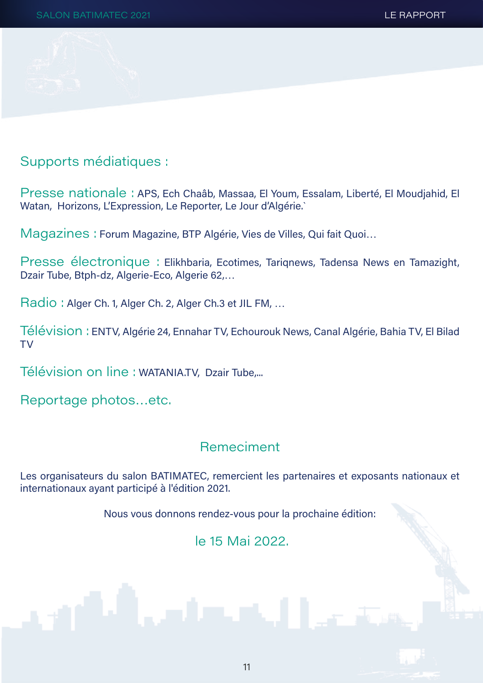

Supports médiatiques :

Presse nationale : APS, Ech Chaâb, Massaa, El Youm, Essalam, Liberté, El Moudjahid, El Watan, Horizons, L'Expression, Le Reporter, Le Jour d'Algérie.

Magazines : Forum Magazine, BTP Algérie, Vies de Villes, Qui fait Quoi...

Presse électronique : Elikhbaria, Ecotimes, Tarignews, Tadensa News en Tamazight, Dzair Tube, Btph-dz, Algerie-Eco, Algerie 62,...

Radio: Alger Ch. 1, Alger Ch. 2, Alger Ch. 3 et JIL FM, ...

Télévision: ENTV, Algérie 24, Ennahar TV, Echourouk News, Canal Algérie, Bahia TV, El Bilad **TV** 

Télévision on line : WATANIA.TV, Dzair Tube,...

Reportage photos...etc.

## Remeciment

Les organisateurs du salon BATIMATEC, remercient les partenaires et exposants nationaux et internationaux ayant participé à l'édition 2021.

Nous vous donnons rendez-vous pour la prochaine édition:

le 15 Mai 2022.